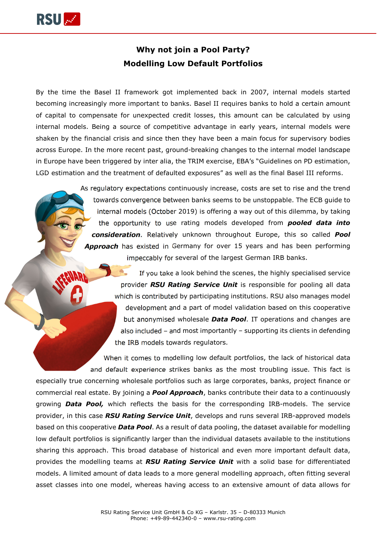

## **Why not join a Pool Party? Modelling Low Default Portfolios**

By the time the Basel II framework got implemented back in 2007, internal models started becoming increasingly more important to banks. Basel II requires banks to hold a certain amount of capital to compensate for unexpected credit losses, this amount can be calculated by using internal models. Being a source of competitive advantage in early years, internal models were shaken by the financial crisis and since then they have been a main focus for supervisory bodies across Europe. In the more recent past, ground-breaking changes to the internal model landscape in Europe have been triggered by inter alia, the TRIM exercise, EBA's "Guidelines on PD estimation, LGD estimation and the treatment of defaulted exposures" as well as the final Basel III reforms.

> As regulatory expectations continuously increase, costs are set to rise and the trend towards convergence between banks seems to be unstoppable. The ECB guide to internal models (October 2019) is offering a way out of this dilemma, by taking the opportunity to use rating models developed from *pooled data into consideration*. Relatively unknown throughout Europe, this so called *Pool Approach* has existed in Germany for over 15 years and has been performing impeccably for several of the largest German IRB banks.

> > If you take a look behind the scenes, the highly specialised service provider *RSU Rating Service Unit* is responsible for pooling all data which is contributed by participating institutions. RSU also manages model development and a part of model validation based on this cooperative but anonymised wholesale *Data Pool*. IT operations and changes are also included – and most importantly – supporting its clients in defending the IRB models towards regulators.

When it comes to modelling low default portfolios, the lack of historical data and default experience strikes banks as the most troubling issue. This fact is especially true concerning wholesale portfolios such as large corporates, banks, project finance or commercial real estate. By joining a *Pool Approach*, banks contribute their data to a continuously growing *Data Pool,* which reflects the basis for the corresponding IRB-models. The service provider, in this case *RSU Rating Service Unit*, develops and runs several IRB-approved models based on this cooperative *Data Pool*. As a result of data pooling, the dataset available for modelling low default portfolios is significantly larger than the individual datasets available to the institutions sharing this approach. This broad database of historical and even more important default data, provides the modelling teams at *RSU Rating Service Unit* with a solid base for differentiated models. A limited amount of data leads to a more general modelling approach, often fitting several asset classes into one model, whereas having access to an extensive amount of data allows for